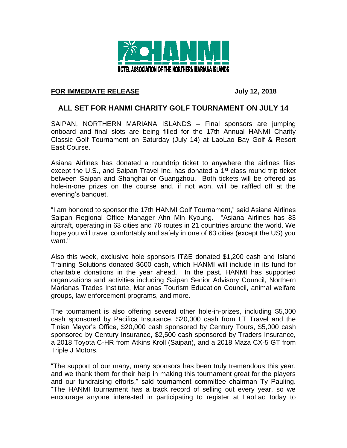

## **FOR IMMEDIATE RELEASE July 12, 2018**

## **ALL SET FOR HANMI CHARITY GOLF TOURNAMENT ON JULY 14**

SAIPAN, NORTHERN MARIANA ISLANDS – Final sponsors are jumping onboard and final slots are being filled for the 17th Annual HANMI Charity Classic Golf Tournament on Saturday (July 14) at LaoLao Bay Golf & Resort East Course.

Asiana Airlines has donated a roundtrip ticket to anywhere the airlines flies except the U.S., and Saipan Travel Inc. has donated a  $1<sup>st</sup>$  class round trip ticket between Saipan and Shanghai or Guangzhou. Both tickets will be offered as hole-in-one prizes on the course and, if not won, will be raffled off at the evening's banquet.

"I am honored to sponsor the 17th HANMI Golf Tournament," said Asiana Airlines Saipan Regional Office Manager Ahn Min Kyoung. "Asiana Airlines has 83 aircraft, operating in 63 cities and 76 routes in 21 countries around the world. We hope you will travel comfortably and safely in one of 63 cities (except the US) you want."

Also this week, exclusive hole sponsors IT&E donated \$1,200 cash and Island Training Solutions donated \$600 cash, which HANMI will include in its fund for charitable donations in the year ahead. In the past, HANMI has supported organizations and activities including Saipan Senior Advisory Council, Northern Marianas Trades Institute, Marianas Tourism Education Council, animal welfare groups, law enforcement programs, and more.

The tournament is also offering several other hole-in-prizes, including \$5,000 cash sponsored by Pacifica Insurance, \$20,000 cash from LT Travel and the Tinian Mayor's Office, \$20,000 cash sponsored by Century Tours, \$5,000 cash sponsored by Century Insurance, \$2,500 cash sponsored by Traders Insurance, a 2018 Toyota C-HR from Atkins Kroll (Saipan), and a 2018 Maza CX-5 GT from Triple J Motors.

"The support of our many, many sponsors has been truly tremendous this year, and we thank them for their help in making this tournament great for the players and our fundraising efforts," said tournament committee chairman Ty Pauling. "The HANMI tournament has a track record of selling out every year, so we encourage anyone interested in participating to register at LaoLao today to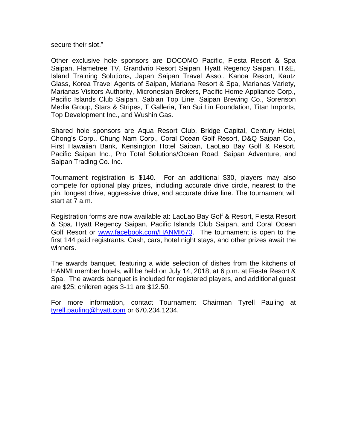secure their slot."

Other exclusive hole sponsors are DOCOMO Pacific, Fiesta Resort & Spa Saipan, Flametree TV, Grandvrio Resort Saipan, Hyatt Regency Saipan, IT&E, Island Training Solutions, Japan Saipan Travel Asso., Kanoa Resort, Kautz Glass, Korea Travel Agents of Saipan, Mariana Resort & Spa, Marianas Variety, Marianas Visitors Authority, Micronesian Brokers, Pacific Home Appliance Corp., Pacific Islands Club Saipan, Sablan Top Line, Saipan Brewing Co., Sorenson Media Group, Stars & Stripes, T Galleria, Tan Sui Lin Foundation, Titan Imports, Top Development Inc., and Wushin Gas.

Shared hole sponsors are Aqua Resort Club, Bridge Capital, Century Hotel, Chong's Corp., Chung Nam Corp., Coral Ocean Golf Resort, D&Q Saipan Co., First Hawaiian Bank, Kensington Hotel Saipan, LaoLao Bay Golf & Resort, Pacific Saipan Inc., Pro Total Solutions/Ocean Road, Saipan Adventure, and Saipan Trading Co. Inc.

Tournament registration is \$140. For an additional \$30, players may also compete for optional play prizes, including accurate drive circle, nearest to the pin, longest drive, aggressive drive, and accurate drive line. The tournament will start at 7 a.m.

Registration forms are now available at: LaoLao Bay Golf & Resort, Fiesta Resort & Spa, Hyatt Regency Saipan, Pacific Islands Club Saipan, and Coral Ocean Golf Resort or [www.facebook.com/HANMI670.](http://www.facebook.com/HANMI670) The tournament is open to the first 144 paid registrants. Cash, cars, hotel night stays, and other prizes await the winners.

The awards banquet, featuring a wide selection of dishes from the kitchens of HANMI member hotels, will be held on July 14, 2018, at 6 p.m. at Fiesta Resort & Spa. The awards banquet is included for registered players, and additional guest are \$25; children ages 3-11 are \$12.50.

For more information, contact Tournament Chairman Tyrell Pauling at [tyrell.pauling@hyatt.com](mailto:tyrell.pauling@hyatt.com) or 670.234.1234.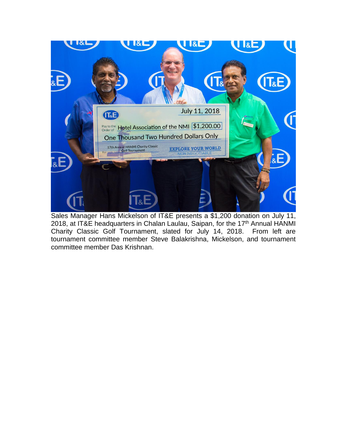

Sales Manager Hans Mickelson of IT&E presents a \$1,200 donation on July 11, 2018, at IT&E headquarters in Chalan Laulau, Saipan, for the 17<sup>th</sup> Annual HANMI Charity Classic Golf Tournament, slated for July 14, 2018. From left are tournament committee member Steve Balakrishna, Mickelson, and tournament committee member Das Krishnan.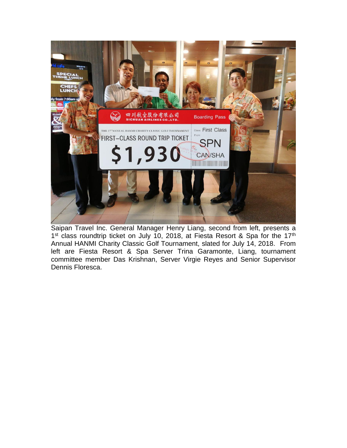

Saipan Travel Inc. General Manager Henry Liang, second from left, presents a 1<sup>st</sup> class roundtrip ticket on July 10, 2018, at Fiesta Resort & Spa for the 17<sup>th</sup> Annual HANMI Charity Classic Golf Tournament, slated for July 14, 2018. From left are Fiesta Resort & Spa Server Trina Garamonte, Liang, tournament committee member Das Krishnan, Server Virgie Reyes and Senior Supervisor Dennis Floresca.